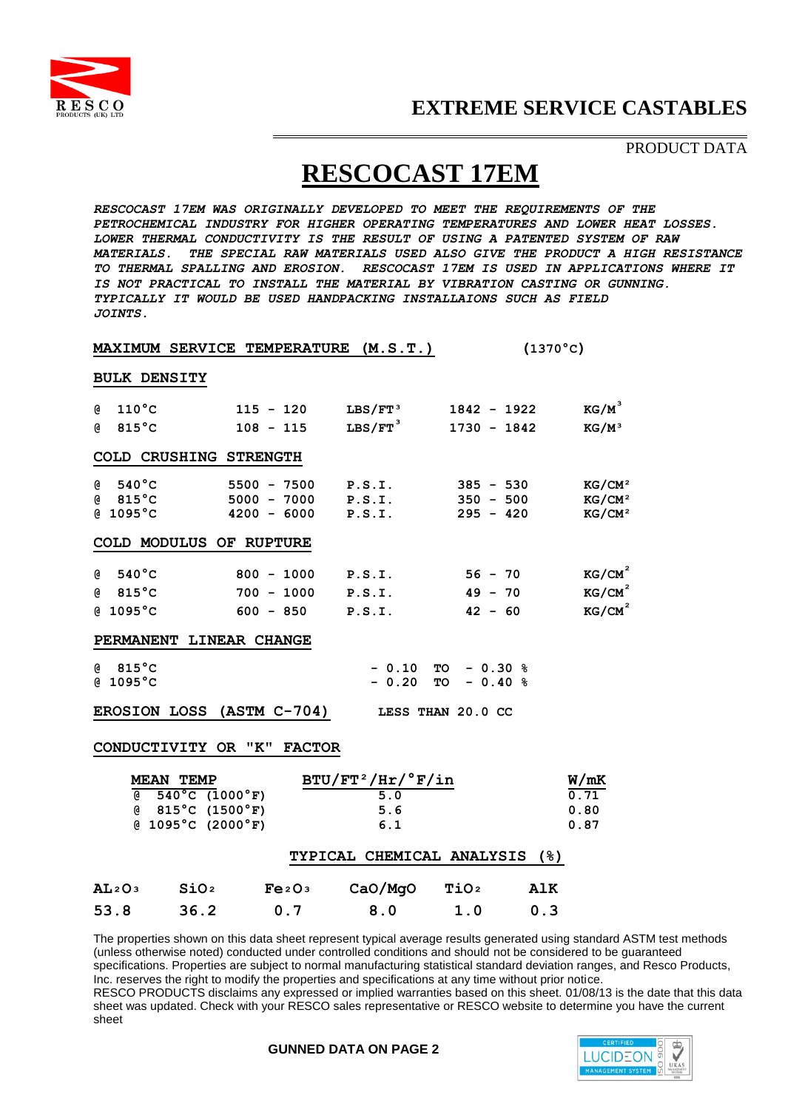

### **EXTREME SERVICE CASTABLES**

PRODUCT DATA

# **RESCOCAST 17EM**

*RESCOCAST 17EM WAS ORIGINALLY DEVELOPED TO MEET THE REQUIREMENTS OF THE PETROCHEMICAL INDUSTRY FOR HIGHER OPERATING TEMPERATURES AND LOWER HEAT LOSSES. LOWER THERMAL CONDUCTIVITY IS THE RESULT OF USING A PATENTED SYSTEM OF RAW MATERIALS. THE SPECIAL RAW MATERIALS USED ALSO GIVE THE PRODUCT A HIGH RESISTANCE TO THERMAL SPALLING AND EROSION. RESCOCAST 17EM IS USED IN APPLICATIONS WHERE IT IS NOT PRACTICAL TO INSTALL THE MATERIAL BY VIBRATION CASTING OR GUNNING. TYPICALLY IT WOULD BE USED HANDPACKING INSTALLAIONS SUCH AS FIELD JOINTS.*

|                                                                                                                |                                    | <b>MAXIMUM SERVICE TEMPERATURE</b> | (M.S.T.)              |                       | $(1370^{\circ}$ C) |  |  |  |
|----------------------------------------------------------------------------------------------------------------|------------------------------------|------------------------------------|-----------------------|-----------------------|--------------------|--|--|--|
| <b>BULK DENSITY</b>                                                                                            |                                    |                                    |                       |                       |                    |  |  |  |
| $110^{\circ}$ C<br>G.                                                                                          |                                    | $115 - 120$                        | ${\rm LBS/FT\,^3}$    | $1842 - 1922$         | $KG/M^3$           |  |  |  |
| $815^{\circ}$ C<br>G)                                                                                          |                                    | $108 - 115$                        | $LBS/FT$ <sup>3</sup> | $1730 - 1842$         | $KG/M^3$           |  |  |  |
|                                                                                                                | COLD CRUSHING STRENGTH             |                                    |                       |                       |                    |  |  |  |
| $540^{\circ}$ C<br>G                                                                                           |                                    | $5500 - 7500$                      | P.S.I.                | $385 - 530$           | KG/CM <sup>2</sup> |  |  |  |
| $@$ 815 $°C$                                                                                                   |                                    | $5000 - 7000$                      | P.S.I.                | $350 - 500$           | KG/CM <sup>2</sup> |  |  |  |
| @ 1095°C                                                                                                       |                                    | $4200 - 6000$                      | P.S.I.                | $295 - 420$           | KG/CM <sup>2</sup> |  |  |  |
|                                                                                                                | COLD MODULUS OF RUPTURE            |                                    |                       |                       |                    |  |  |  |
| $540^{\circ}$ C<br>G                                                                                           |                                    | $800 - 1000$                       | P.S.I.                | $56 - 70$             | KG/CM <sup>2</sup> |  |  |  |
| $@$ 815 $°C$                                                                                                   |                                    | $700 - 1000$                       | P.S.I.                | $49 - 70$             | KG/CM <sup>2</sup> |  |  |  |
| @ 1095°C                                                                                                       |                                    | $600 - 850$                        | P.S.I.                | $42 - 60$             | KG/CM <sup>2</sup> |  |  |  |
|                                                                                                                | PERMANENT LINEAR CHANGE            |                                    |                       |                       |                    |  |  |  |
| $@$ 815 $°C$                                                                                                   |                                    |                                    | $-0.10$               | $-0.30%$<br><b>TO</b> |                    |  |  |  |
| @1095°C                                                                                                        |                                    |                                    | $-0.20$               | $-0.40%$<br><b>TO</b> |                    |  |  |  |
| $(ASTM C-704)$<br><b>EROSION LOSS</b><br>LESS THAN 20.0 CC                                                     |                                    |                                    |                       |                       |                    |  |  |  |
|                                                                                                                | CONDUCTIVITY OR "K"                | <b>FACTOR</b>                      |                       |                       |                    |  |  |  |
|                                                                                                                | <b>MEAN TEMP</b>                   |                                    | $BTU/FT^2/HT/°F/in$   |                       | W/mK               |  |  |  |
| a and a common common common common and a common common common common and common common common common common c | $\overline{540^{\circ}C}$ (1000°F) |                                    | 5.0                   |                       | 0.71               |  |  |  |
|                                                                                                                | $(8.815^{\circ}C)(1500^{\circ}F)$  |                                    | 5.6                   |                       | 0.80               |  |  |  |
|                                                                                                                | $(4.1095^{\circ}C)(2000^{\circ}F)$ |                                    | 6.1                   |                       | 0.87               |  |  |  |
| <b>TYPICAL CHEMICAL ANALYSIS</b><br>(%)                                                                        |                                    |                                    |                       |                       |                    |  |  |  |
| AL2O3                                                                                                          | SiO <sub>2</sub>                   | Fe <sub>2O<sub>3</sub></sub>       | CaO/MgO               | TiO <sub>2</sub>      | AlK                |  |  |  |
| 53.8                                                                                                           | 36.2                               | 0.7                                | 8.0                   | 1.0                   | 0.3                |  |  |  |

The properties shown on this data sheet represent typical average results generated using standard ASTM test methods (unless otherwise noted) conducted under controlled conditions and should not be considered to be guaranteed specifications. Properties are subject to normal manufacturing statistical standard deviation ranges, and Resco Products, Inc. reserves the right to modify the properties and specifications at any time without prior notice. RESCO PRODUCTS disclaims any expressed or implied warranties based on this sheet. 01/08/13 is the date that this data sheet was updated. Check with your RESCO sales representative or RESCO website to determine you have the current sheet

### **GUNNED DATA ON PAGE 2**